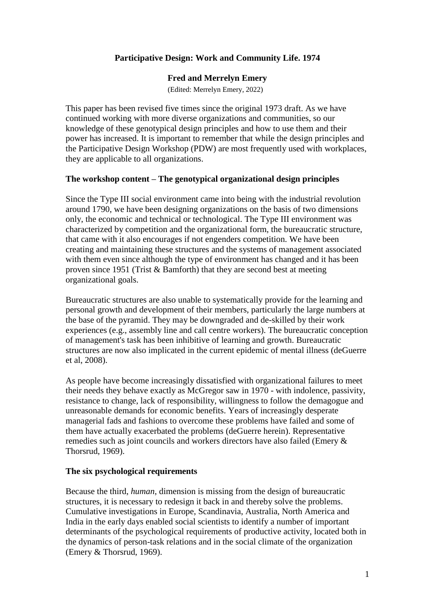# **Participative Design: Work and Community Life. 1974**

#### **Fred and Merrelyn Emery**

(Edited: Merrelyn Emery, 2022)

This paper has been revised five times since the original 1973 draft. As we have continued working with more diverse organizations and communities, so our knowledge of these genotypical design principles and how to use them and their power has increased. It is important to remember that while the design principles and the Participative Design Workshop (PDW) are most frequently used with workplaces, they are applicable to all organizations.

### **The workshop content – The genotypical organizational design principles**

Since the Type III social environment came into being with the industrial revolution around 1790, we have been designing organizations on the basis of two dimensions only, the economic and technical or technological. The Type III environment was characterized by competition and the organizational form, the bureaucratic structure, that came with it also encourages if not engenders competition. We have been creating and maintaining these structures and the systems of management associated with them even since although the type of environment has changed and it has been proven since 1951 (Trist & Bamforth) that they are second best at meeting organizational goals.

Bureaucratic structures are also unable to systematically provide for the learning and personal growth and development of their members, particularly the large numbers at the base of the pyramid. They may be downgraded and de-skilled by their work experiences (e.g., assembly line and call centre workers). The bureaucratic conception of management's task has been inhibitive of learning and growth. Bureaucratic structures are now also implicated in the current epidemic of mental illness (deGuerre et al, 2008).

As people have become increasingly dissatisfied with organizational failures to meet their needs they behave exactly as McGregor saw in 1970 - with indolence, passivity, resistance to change, lack of responsibility, willingness to follow the demagogue and unreasonable demands for economic benefits. Years of increasingly desperate managerial fads and fashions to overcome these problems have failed and some of them have actually exacerbated the problems (deGuerre herein). Representative remedies such as joint councils and workers directors have also failed (Emery & Thorsrud, 1969).

### **The six psychological requirements**

Because the third, *human*, dimension is missing from the design of bureaucratic structures, it is necessary to redesign it back in and thereby solve the problems. Cumulative investigations in Europe, Scandinavia, Australia, North America and India in the early days enabled social scientists to identify a number of important determinants of the psychological requirements of productive activity, located both in the dynamics of person-task relations and in the social climate of the organization (Emery & Thorsrud, 1969).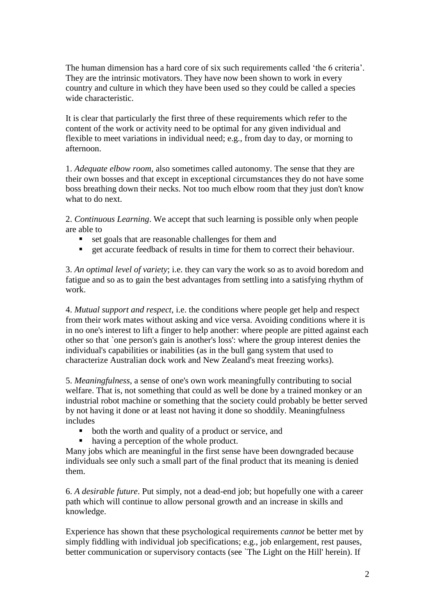The human dimension has a hard core of six such requirements called 'the 6 criteria'. They are the intrinsic motivators. They have now been shown to work in every country and culture in which they have been used so they could be called a species wide characteristic.

It is clear that particularly the first three of these requirements which refer to the content of the work or activity need to be optimal for any given individual and flexible to meet variations in individual need; e.g., from day to day, or morning to afternoon.

1. *Adequate elbow room,* also sometimes called autonomy. The sense that they are their own bosses and that except in exceptional circumstances they do not have some boss breathing down their necks. Not too much elbow room that they just don't know what to do next.

2. *Continuous Learning*. We accept that such learning is possible only when people are able to

- set goals that are reasonable challenges for them and
- get accurate feedback of results in time for them to correct their behaviour.

3. *An optimal level of variety*; i.e. they can vary the work so as to avoid boredom and fatigue and so as to gain the best advantages from settling into a satisfying rhythm of work.

4. *Mutual support and respect*, i.e. the conditions where people get help and respect from their work mates without asking and vice versa. Avoiding conditions where it is in no one's interest to lift a finger to help another: where people are pitted against each other so that `one person's gain is another's loss': where the group interest denies the individual's capabilities or inabilities (as in the bull gang system that used to characterize Australian dock work and New Zealand's meat freezing works).

5. *Meaningfulness*, a sense of one's own work meaningfully contributing to social welfare. That is, not something that could as well be done by a trained monkey or an industrial robot machine or something that the society could probably be better served by not having it done or at least not having it done so shoddily. Meaningfulness includes

- both the worth and quality of a product or service, and
- having a perception of the whole product.

Many jobs which are meaningful in the first sense have been downgraded because individuals see only such a small part of the final product that its meaning is denied them.

6. *A desirable future*. Put simply, not a dead-end job; but hopefully one with a career path which will continue to allow personal growth and an increase in skills and knowledge.

Experience has shown that these psychological requirements *cannot* be better met by simply fiddling with individual job specifications; e.g., job enlargement, rest pauses, better communication or supervisory contacts (see `The Light on the Hill' herein). If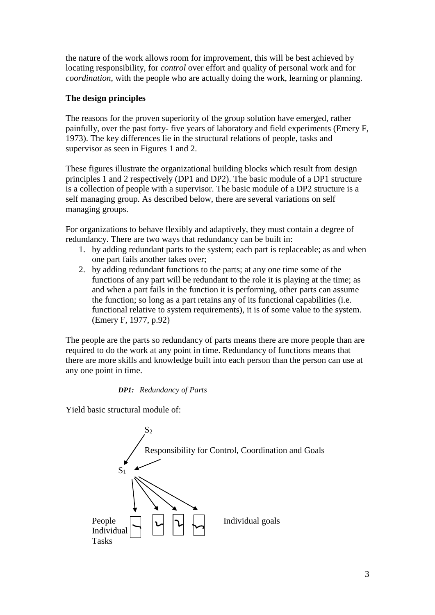the nature of the work allows room for improvement, this will be best achieved by locating responsibility, for *control* over effort and quality of personal work and for *coordination*, with the people who are actually doing the work, learning or planning.

# **The design principles**

The reasons for the proven superiority of the group solution have emerged, rather painfully, over the past forty- five years of laboratory and field experiments (Emery F, 1973). The key differences lie in the structural relations of people, tasks and supervisor as seen in Figures 1 and 2.

These figures illustrate the organizational building blocks which result from design principles 1 and 2 respectively (DP1 and DP2). The basic module of a DP1 structure is a collection of people with a supervisor. The basic module of a DP2 structure is a self managing group. As described below, there are several variations on self managing groups.

For organizations to behave flexibly and adaptively, they must contain a degree of redundancy. There are two ways that redundancy can be built in:

- 1. by adding redundant parts to the system; each part is replaceable; as and when one part fails another takes over;
- 2. by adding redundant functions to the parts; at any one time some of the functions of any part will be redundant to the role it is playing at the time; as and when a part fails in the function it is performing, other parts can assume the function; so long as a part retains any of its functional capabilities (i.e. functional relative to system requirements), it is of some value to the system. (Emery F, 1977, p.92)

The people are the parts so redundancy of parts means there are more people than are required to do the work at any point in time. Redundancy of functions means that there are more skills and knowledge built into each person than the person can use at any one point in time.

### *DP1: Redundancy of Parts*

Yield basic structural module of:

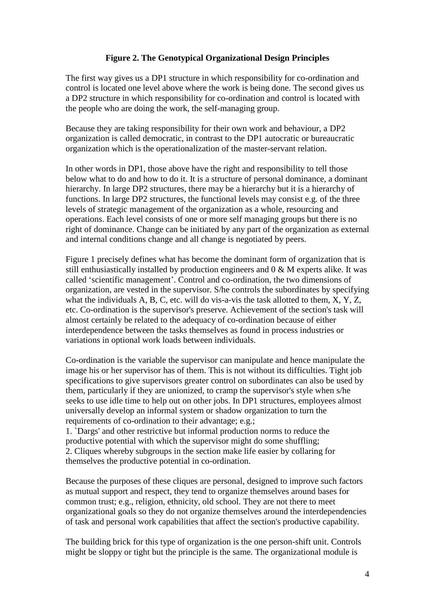# **Figure 2. The Genotypical Organizational Design Principles**

The first way gives us a DP1 structure in which responsibility for co-ordination and control is located one level above where the work is being done. The second gives us a DP2 structure in which responsibility for co-ordination and control is located with the people who are doing the work, the self-managing group.

Because they are taking responsibility for their own work and behaviour, a DP2 organization is called democratic, in contrast to the DP1 autocratic or bureaucratic organization which is the operationalization of the master-servant relation.

In other words in DP1, those above have the right and responsibility to tell those below what to do and how to do it. It is a structure of personal dominance, a dominant hierarchy. In large DP2 structures, there may be a hierarchy but it is a hierarchy of functions. In large DP2 structures, the functional levels may consist e.g. of the three levels of strategic management of the organization as a whole, resourcing and operations. Each level consists of one or more self managing groups but there is no right of dominance. Change can be initiated by any part of the organization as external and internal conditions change and all change is negotiated by peers.

Figure 1 precisely defines what has become the dominant form of organization that is still enthusiastically installed by production engineers and 0 & M experts alike. It was called 'scientific management'. Control and co-ordination, the two dimensions of organization, are vested in the supervisor. S/he controls the subordinates by specifying what the individuals A, B, C, etc. will do vis-a-vis the task allotted to them, X, Y, Z, etc. Co-ordination is the supervisor's preserve. Achievement of the section's task will almost certainly be related to the adequacy of co-ordination because of either interdependence between the tasks themselves as found in process industries or variations in optional work loads between individuals.

Co-ordination is the variable the supervisor can manipulate and hence manipulate the image his or her supervisor has of them. This is not without its difficulties. Tight job specifications to give supervisors greater control on subordinates can also be used by them, particularly if they are unionized, to cramp the supervisor's style when s/he seeks to use idle time to help out on other jobs. In DP1 structures, employees almost universally develop an informal system or shadow organization to turn the requirements of co-ordination to their advantage; e.g.;

1. `Dargs' and other restrictive but informal production norms to reduce the productive potential with which the supervisor might do some shuffling; 2. Cliques whereby subgroups in the section make life easier by collaring for themselves the productive potential in co-ordination.

Because the purposes of these cliques are personal, designed to improve such factors as mutual support and respect, they tend to organize themselves around bases for common trust; e.g., religion, ethnicity, old school. They are not there to meet organizational goals so they do not organize themselves around the interdependencies of task and personal work capabilities that affect the section's productive capability.

The building brick for this type of organization is the one person-shift unit. Controls might be sloppy or tight but the principle is the same. The organizational module is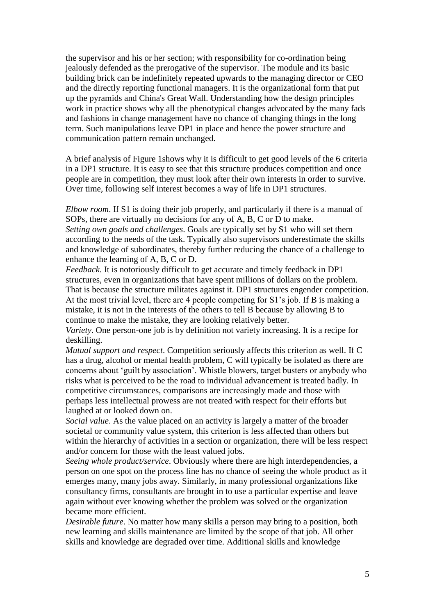the supervisor and his or her section; with responsibility for co-ordination being jealously defended as the prerogative of the supervisor. The module and its basic building brick can be indefinitely repeated upwards to the managing director or CEO and the directly reporting functional managers. It is the organizational form that put up the pyramids and China's Great Wall. Understanding how the design principles work in practice shows why all the phenotypical changes advocated by the many fads and fashions in change management have no chance of changing things in the long term. Such manipulations leave DP1 in place and hence the power structure and communication pattern remain unchanged.

A brief analysis of Figure 1shows why it is difficult to get good levels of the 6 criteria in a DP1 structure. It is easy to see that this structure produces competition and once people are in competition, they must look after their own interests in order to survive. Over time, following self interest becomes a way of life in DP1 structures.

*Elbow room*. If S1 is doing their job properly, and particularly if there is a manual of SOPs, there are virtually no decisions for any of A, B, C or D to make.

*Setting own goals and challenges*. Goals are typically set by S1 who will set them according to the needs of the task. Typically also supervisors underestimate the skills and knowledge of subordinates, thereby further reducing the chance of a challenge to enhance the learning of A, B, C or D.

*Feedback*. It is notoriously difficult to get accurate and timely feedback in DP1 structures, even in organizations that have spent millions of dollars on the problem. That is because the structure militates against it. DP1 structures engender competition. At the most trivial level, there are 4 people competing for S1's job. If B is making a mistake, it is not in the interests of the others to tell B because by allowing B to continue to make the mistake, they are looking relatively better.

*Variety*. One person-one job is by definition not variety increasing. It is a recipe for deskilling.

*Mutual support and respect*. Competition seriously affects this criterion as well. If C has a drug, alcohol or mental health problem, C will typically be isolated as there are concerns about 'guilt by association'. Whistle blowers, target busters or anybody who risks what is perceived to be the road to individual advancement is treated badly. In competitive circumstances, comparisons are increasingly made and those with perhaps less intellectual prowess are not treated with respect for their efforts but laughed at or looked down on.

*Social value*. As the value placed on an activity is largely a matter of the broader societal or community value system, this criterion is less affected than others but within the hierarchy of activities in a section or organization, there will be less respect and/or concern for those with the least valued jobs.

*Seeing whole product/service*. Obviously where there are high interdependencies, a person on one spot on the process line has no chance of seeing the whole product as it emerges many, many jobs away. Similarly, in many professional organizations like consultancy firms, consultants are brought in to use a particular expertise and leave again without ever knowing whether the problem was solved or the organization became more efficient.

*Desirable future*. No matter how many skills a person may bring to a position, both new learning and skills maintenance are limited by the scope of that job. All other skills and knowledge are degraded over time. Additional skills and knowledge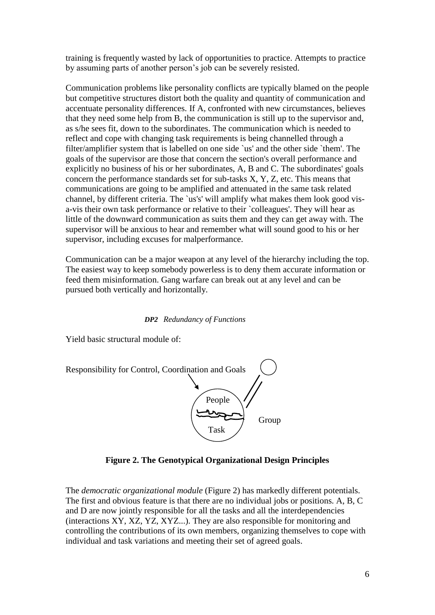training is frequently wasted by lack of opportunities to practice. Attempts to practice by assuming parts of another person's job can be severely resisted.

Communication problems like personality conflicts are typically blamed on the people but competitive structures distort both the quality and quantity of communication and accentuate personality differences. If A, confronted with new circumstances, believes that they need some help from B, the communication is still up to the supervisor and, as s/he sees fit, down to the subordinates. The communication which is needed to reflect and cope with changing task requirements is being channelled through a filter/amplifier system that is labelled on one side `us' and the other side `them'. The goals of the supervisor are those that concern the section's overall performance and explicitly no business of his or her subordinates, A, B and C. The subordinates' goals concern the performance standards set for sub-tasks X, Y, Z, etc. This means that communications are going to be amplified and attenuated in the same task related channel, by different criteria. The `us's' will amplify what makes them look good visa-vis their own task performance or relative to their `colleagues'. They will hear as little of the downward communication as suits them and they can get away with. The supervisor will be anxious to hear and remember what will sound good to his or her supervisor, including excuses for malperformance.

Communication can be a major weapon at any level of the hierarchy including the top. The easiest way to keep somebody powerless is to deny them accurate information or feed them misinformation. Gang warfare can break out at any level and can be pursued both vertically and horizontally.

#### *DP2 Redundancy of Functions*

Yield basic structural module of:



**Figure 2. The Genotypical Organizational Design Principles**

The *democratic organizational module* (Figure 2) has markedly different potentials. The first and obvious feature is that there are no individual jobs or positions. A, B, C and D are now jointly responsible for all the tasks and all the interdependencies (interactions XY, XZ, YZ, XYZ...). They are also responsible for monitoring and controlling the contributions of its own members, organizing themselves to cope with individual and task variations and meeting their set of agreed goals.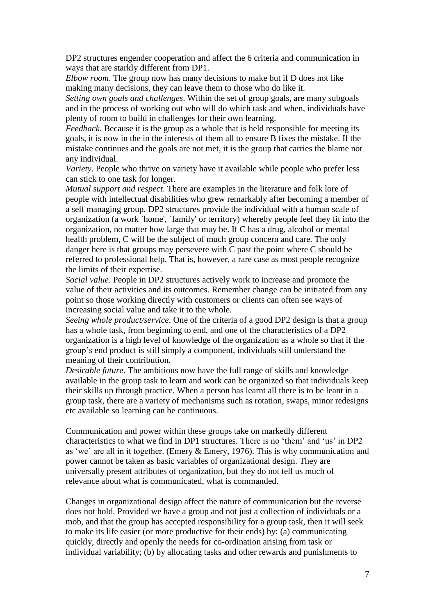DP2 structures engender cooperation and affect the 6 criteria and communication in ways that are starkly different from DP1.

*Elbow room*. The group now has many decisions to make but if D does not like making many decisions, they can leave them to those who do like it.

*Setting own goals and challenges*. Within the set of group goals, are many subgoals and in the process of working out who will do which task and when, individuals have plenty of room to build in challenges for their own learning.

*Feedback*. Because it is the group as a whole that is held responsible for meeting its goals, it is now in the in the interests of them all to ensure B fixes the mistake. If the mistake continues and the goals are not met, it is the group that carries the blame not any individual.

*Variety*. People who thrive on variety have it available while people who prefer less can stick to one task for longer.

*Mutual support and respect*. There are examples in the literature and folk lore of people with intellectual disabilities who grew remarkably after becoming a member of a self managing group. DP2 structures provide the individual with a human scale of organization (a work `home', `family' or territory) whereby people feel they fit into the organization, no matter how large that may be. If C has a drug, alcohol or mental health problem, C will be the subject of much group concern and care. The only danger here is that groups may persevere with C past the point where C should be referred to professional help. That is, however, a rare case as most people recognize the limits of their expertise.

*Social value*. People in DP2 structures actively work to increase and promote the value of their activities and its outcomes. Remember change can be initiated from any point so those working directly with customers or clients can often see ways of increasing social value and take it to the whole.

*Seeing whole product/service*. One of the criteria of a good DP2 design is that a group has a whole task, from beginning to end, and one of the characteristics of a DP2 organization is a high level of knowledge of the organization as a whole so that if the group's end product is still simply a component, individuals still understand the meaning of their contribution.

*Desirable future*. The ambitious now have the full range of skills and knowledge available in the group task to learn and work can be organized so that individuals keep their skills up through practice. When a person has learnt all there is to be leant in a group task, there are a variety of mechanisms such as rotation, swaps, minor redesigns etc available so learning can be continuous.

Communication and power within these groups take on markedly different characteristics to what we find in DP1 structures. There is no 'them' and 'us' in DP2 as 'we' are all in it together. (Emery & Emery, 1976). This is why communication and power cannot be taken as basic variables of organizational design. They are universally present attributes of organization, but they do not tell us much of relevance about what is communicated, what is commanded.

Changes in organizational design affect the nature of communication but the reverse does not hold. Provided we have a group and not just a collection of individuals or a mob, and that the group has accepted responsibility for a group task, then it will seek to make its life easier (or more productive for their ends) by: (a) communicating quickly, directly and openly the needs for co-ordination arising from task or individual variability; (b) by allocating tasks and other rewards and punishments to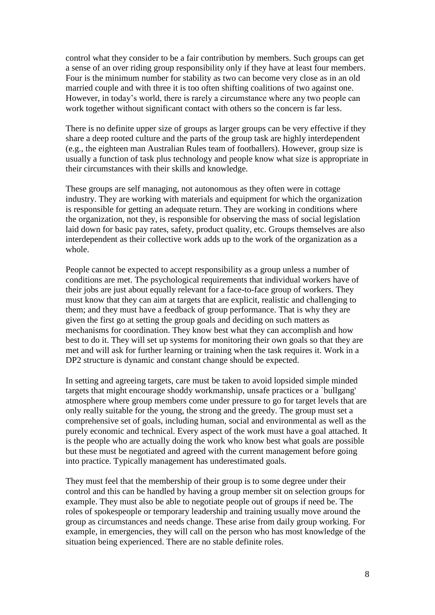control what they consider to be a fair contribution by members. Such groups can get a sense of an over riding group responsibility only if they have at least four members. Four is the minimum number for stability as two can become very close as in an old married couple and with three it is too often shifting coalitions of two against one. However, in today's world, there is rarely a circumstance where any two people can work together without significant contact with others so the concern is far less.

There is no definite upper size of groups as larger groups can be very effective if they share a deep rooted culture and the parts of the group task are highly interdependent (e.g., the eighteen man Australian Rules team of footballers). However, group size is usually a function of task plus technology and people know what size is appropriate in their circumstances with their skills and knowledge.

These groups are self managing, not autonomous as they often were in cottage industry. They are working with materials and equipment for which the organization is responsible for getting an adequate return. They are working in conditions where the organization, not they, is responsible for observing the mass of social legislation laid down for basic pay rates, safety, product quality, etc. Groups themselves are also interdependent as their collective work adds up to the work of the organization as a whole.

People cannot be expected to accept responsibility as a group unless a number of conditions are met. The psychological requirements that individual workers have of their jobs are just about equally relevant for a face-to-face group of workers. They must know that they can aim at targets that are explicit, realistic and challenging to them; and they must have a feedback of group performance. That is why they are given the first go at setting the group goals and deciding on such matters as mechanisms for coordination. They know best what they can accomplish and how best to do it. They will set up systems for monitoring their own goals so that they are met and will ask for further learning or training when the task requires it. Work in a DP2 structure is dynamic and constant change should be expected.

In setting and agreeing targets, care must be taken to avoid lopsided simple minded targets that might encourage shoddy workmanship, unsafe practices or a `bullgang' atmosphere where group members come under pressure to go for target levels that are only really suitable for the young, the strong and the greedy. The group must set a comprehensive set of goals, including human, social and environmental as well as the purely economic and technical. Every aspect of the work must have a goal attached. It is the people who are actually doing the work who know best what goals are possible but these must be negotiated and agreed with the current management before going into practice. Typically management has underestimated goals.

They must feel that the membership of their group is to some degree under their control and this can be handled by having a group member sit on selection groups for example. They must also be able to negotiate people out of groups if need be. The roles of spokespeople or temporary leadership and training usually move around the group as circumstances and needs change. These arise from daily group working. For example, in emergencies, they will call on the person who has most knowledge of the situation being experienced. There are no stable definite roles.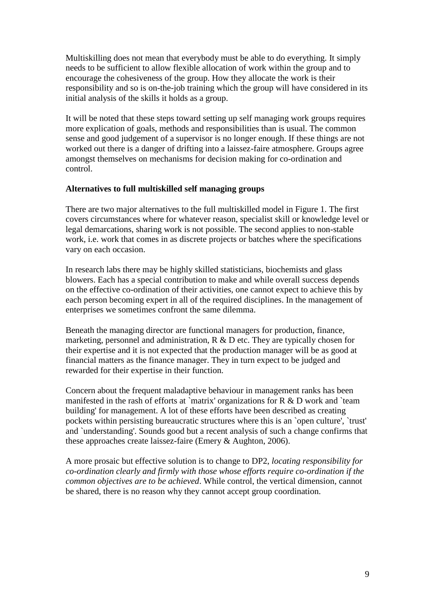Multiskilling does not mean that everybody must be able to do everything. It simply needs to be sufficient to allow flexible allocation of work within the group and to encourage the cohesiveness of the group. How they allocate the work is their responsibility and so is on-the-job training which the group will have considered in its initial analysis of the skills it holds as a group.

It will be noted that these steps toward setting up self managing work groups requires more explication of goals, methods and responsibilities than is usual. The common sense and good judgement of a supervisor is no longer enough. If these things are not worked out there is a danger of drifting into a laissez-faire atmosphere. Groups agree amongst themselves on mechanisms for decision making for co-ordination and control.

#### **Alternatives to full multiskilled self managing groups**

There are two major alternatives to the full multiskilled model in Figure 1. The first covers circumstances where for whatever reason, specialist skill or knowledge level or legal demarcations, sharing work is not possible. The second applies to non-stable work, i.e. work that comes in as discrete projects or batches where the specifications vary on each occasion.

In research labs there may be highly skilled statisticians, biochemists and glass blowers. Each has a special contribution to make and while overall success depends on the effective co-ordination of their activities, one cannot expect to achieve this by each person becoming expert in all of the required disciplines. In the management of enterprises we sometimes confront the same dilemma.

Beneath the managing director are functional managers for production, finance, marketing, personnel and administration,  $R \& D$  etc. They are typically chosen for their expertise and it is not expected that the production manager will be as good at financial matters as the finance manager. They in turn expect to be judged and rewarded for their expertise in their function.

Concern about the frequent maladaptive behaviour in management ranks has been manifested in the rash of efforts at `matrix' organizations for R & D work and `team building' for management. A lot of these efforts have been described as creating pockets within persisting bureaucratic structures where this is an `open culture', `trust' and `understanding'. Sounds good but a recent analysis of such a change confirms that these approaches create laissez-faire (Emery & Aughton, 2006).

A more prosaic but effective solution is to change to DP2, *locating responsibility for co-ordination clearly and firmly with those whose efforts require co-ordination if the common objectives are to be achieved*. While control, the vertical dimension, cannot be shared, there is no reason why they cannot accept group coordination.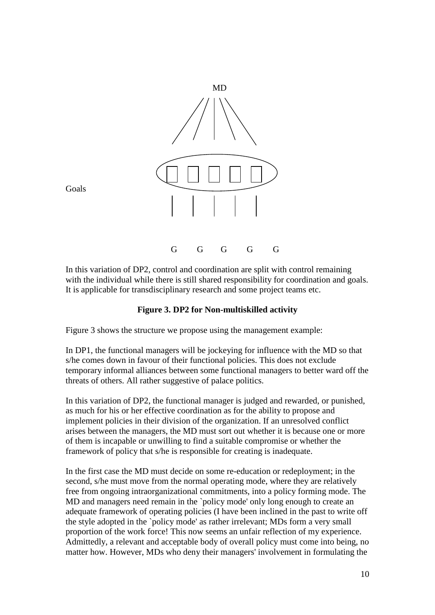

Goals

In this variation of DP2, control and coordination are split with control remaining with the individual while there is still shared responsibility for coordination and goals. It is applicable for transdisciplinary research and some project teams etc.

# **Figure 3. DP2 for Non-multiskilled activity**

Figure 3 shows the structure we propose using the management example:

In DP1, the functional managers will be jockeying for influence with the MD so that s/he comes down in favour of their functional policies. This does not exclude temporary informal alliances between some functional managers to better ward off the threats of others. All rather suggestive of palace politics.

In this variation of DP2, the functional manager is judged and rewarded, or punished, as much for his or her effective coordination as for the ability to propose and implement policies in their division of the organization. If an unresolved conflict arises between the managers, the MD must sort out whether it is because one or more of them is incapable or unwilling to find a suitable compromise or whether the framework of policy that s/he is responsible for creating is inadequate.

In the first case the MD must decide on some re-education or redeployment; in the second, s/he must move from the normal operating mode, where they are relatively free from ongoing intraorganizational commitments, into a policy forming mode. The MD and managers need remain in the `policy mode' only long enough to create an adequate framework of operating policies (I have been inclined in the past to write off the style adopted in the `policy mode' as rather irrelevant; MDs form a very small proportion of the work force! This now seems an unfair reflection of my experience. Admittedly, a relevant and acceptable body of overall policy must come into being, no matter how. However, MDs who deny their managers' involvement in formulating the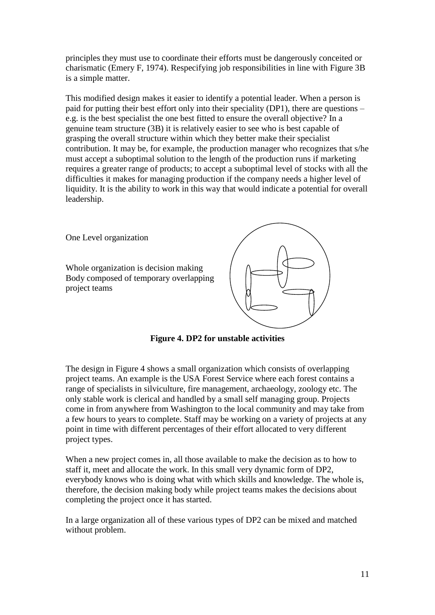principles they must use to coordinate their efforts must be dangerously conceited or charismatic (Emery F, 1974). Respecifying job responsibilities in line with Figure 3B is a simple matter.

This modified design makes it easier to identify a potential leader. When a person is paid for putting their best effort only into their speciality (DP1), there are questions – e.g. is the best specialist the one best fitted to ensure the overall objective? In a genuine team structure (3B) it is relatively easier to see who is best capable of grasping the overall structure within which they better make their specialist contribution. It may be, for example, the production manager who recognizes that s/he must accept a suboptimal solution to the length of the production runs if marketing requires a greater range of products; to accept a suboptimal level of stocks with all the difficulties it makes for managing production if the company needs a higher level of liquidity. It is the ability to work in this way that would indicate a potential for overall leadership.

One Level organization Whole organization is decision making Body composed of temporary overlapping project teams



**Figure 4. DP2 for unstable activities**

The design in Figure 4 shows a small organization which consists of overlapping project teams. An example is the USA Forest Service where each forest contains a range of specialists in silviculture, fire management, archaeology, zoology etc. The only stable work is clerical and handled by a small self managing group. Projects come in from anywhere from Washington to the local community and may take from a few hours to years to complete. Staff may be working on a variety of projects at any point in time with different percentages of their effort allocated to very different project types.

When a new project comes in, all those available to make the decision as to how to staff it, meet and allocate the work. In this small very dynamic form of DP2, everybody knows who is doing what with which skills and knowledge. The whole is, therefore, the decision making body while project teams makes the decisions about completing the project once it has started.

In a large organization all of these various types of DP2 can be mixed and matched without problem.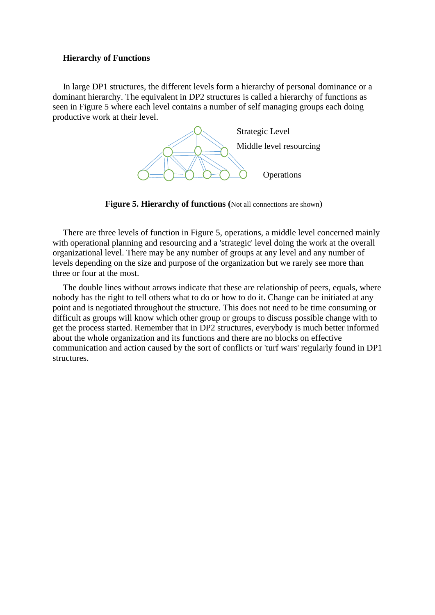#### **Hierarchy of Functions**

In large DP1 structures, the different levels form a hierarchy of personal dominance or a dominant hierarchy. The equivalent in DP2 structures is called a hierarchy of functions as seen in Figure 5 where each level contains a number of self managing groups each doing productive work at their level.



**Figure 5. Hierarchy of functions** (Not all connections are shown)

There are three levels of function in Figure 5, operations, a middle level concerned mainly with operational planning and resourcing and a 'strategic' level doing the work at the overall organizational level. There may be any number of groups at any level and any number of levels depending on the size and purpose of the organization but we rarely see more than three or four at the most.

The double lines without arrows indicate that these are relationship of peers, equals, where nobody has the right to tell others what to do or how to do it. Change can be initiated at any point and is negotiated throughout the structure. This does not need to be time consuming or difficult as groups will know which other group or groups to discuss possible change with to get the process started. Remember that in DP2 structures, everybody is much better informed about the whole organization and its functions and there are no blocks on effective communication and action caused by the sort of conflicts or 'turf wars' regularly found in DP1 structures.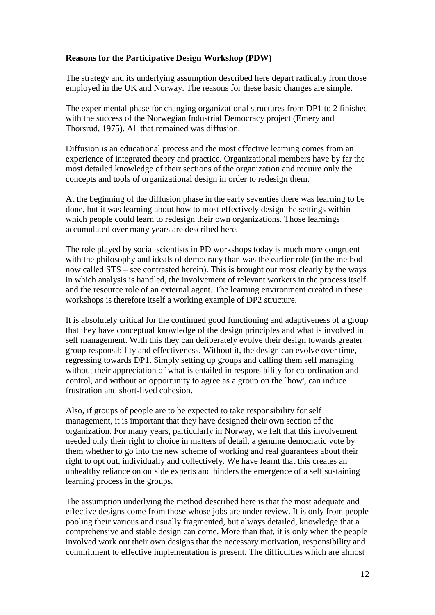## **Reasons for the Participative Design Workshop (PDW)**

The strategy and its underlying assumption described here depart radically from those employed in the UK and Norway. The reasons for these basic changes are simple.

The experimental phase for changing organizational structures from DP1 to 2 finished with the success of the Norwegian Industrial Democracy project (Emery and Thorsrud, 1975). All that remained was diffusion.

Diffusion is an educational process and the most effective learning comes from an experience of integrated theory and practice. Organizational members have by far the most detailed knowledge of their sections of the organization and require only the concepts and tools of organizational design in order to redesign them.

At the beginning of the diffusion phase in the early seventies there was learning to be done, but it was learning about how to most effectively design the settings within which people could learn to redesign their own organizations. Those learnings accumulated over many years are described here.

The role played by social scientists in PD workshops today is much more congruent with the philosophy and ideals of democracy than was the earlier role (in the method now called STS – see contrasted herein). This is brought out most clearly by the ways in which analysis is handled, the involvement of relevant workers in the process itself and the resource role of an external agent. The learning environment created in these workshops is therefore itself a working example of DP2 structure.

It is absolutely critical for the continued good functioning and adaptiveness of a group that they have conceptual knowledge of the design principles and what is involved in self management. With this they can deliberately evolve their design towards greater group responsibility and effectiveness. Without it, the design can evolve over time, regressing towards DP1. Simply setting up groups and calling them self managing without their appreciation of what is entailed in responsibility for co-ordination and control, and without an opportunity to agree as a group on the `how', can induce frustration and short-lived cohesion.

Also, if groups of people are to be expected to take responsibility for self management, it is important that they have designed their own section of the organization. For many years, particularly in Norway, we felt that this involvement needed only their right to choice in matters of detail, a genuine democratic vote by them whether to go into the new scheme of working and real guarantees about their right to opt out, individually and collectively. We have learnt that this creates an unhealthy reliance on outside experts and hinders the emergence of a self sustaining learning process in the groups.

The assumption underlying the method described here is that the most adequate and effective designs come from those whose jobs are under review. It is only from people pooling their various and usually fragmented, but always detailed, knowledge that a comprehensive and stable design can come. More than that, it is only when the people involved work out their own designs that the necessary motivation, responsibility and commitment to effective implementation is present. The difficulties which are almost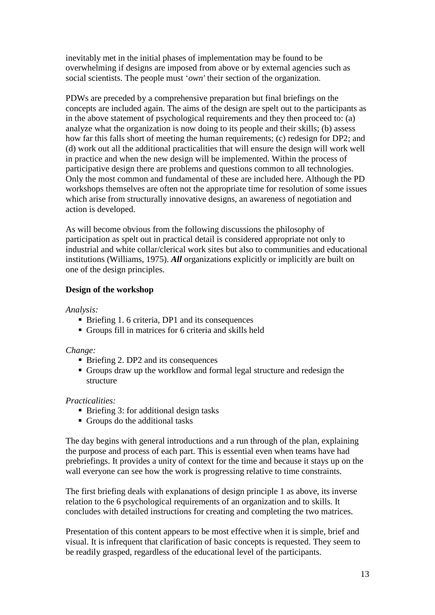inevitably met in the initial phases of implementation may be found to be overwhelming if designs are imposed from above or by external agencies such as social scientists. The people must '*own'* their section of the organization.

PDWs are preceded by a comprehensive preparation but final briefings on the concepts are included again. The aims of the design are spelt out to the participants as in the above statement of psychological requirements and they then proceed to: (a) analyze what the organization is now doing to its people and their skills; (b) assess how far this falls short of meeting the human requirements; (c) redesign for DP2; and (d) work out all the additional practicalities that will ensure the design will work well in practice and when the new design will be implemented. Within the process of participative design there are problems and questions common to all technologies. Only the most common and fundamental of these are included here. Although the PD workshops themselves are often not the appropriate time for resolution of some issues which arise from structurally innovative designs, an awareness of negotiation and action is developed.

As will become obvious from the following discussions the philosophy of participation as spelt out in practical detail is considered appropriate not only to industrial and white collar/clerical work sites but also to communities and educational institutions (Williams, 1975). *All* organizations explicitly or implicitly are built on one of the design principles.

### **Design of the workshop**

*Analysis:* 

- Briefing 1.6 criteria, DP1 and its consequences
- Groups fill in matrices for 6 criteria and skills held

#### *Change:*

- Briefing 2. DP2 and its consequences
- Groups draw up the workflow and formal legal structure and redesign the structure

### *Practicalities:*

- Briefing 3: for additional design tasks
- Groups do the additional tasks

The day begins with general introductions and a run through of the plan, explaining the purpose and process of each part. This is essential even when teams have had prebriefings. It provides a unity of context for the time and because it stays up on the wall everyone can see how the work is progressing relative to time constraints.

The first briefing deals with explanations of design principle 1 as above, its inverse relation to the 6 psychological requirements of an organization and to skills. It concludes with detailed instructions for creating and completing the two matrices.

Presentation of this content appears to be most effective when it is simple, brief and visual. It is infrequent that clarification of basic concepts is requested. They seem to be readily grasped, regardless of the educational level of the participants.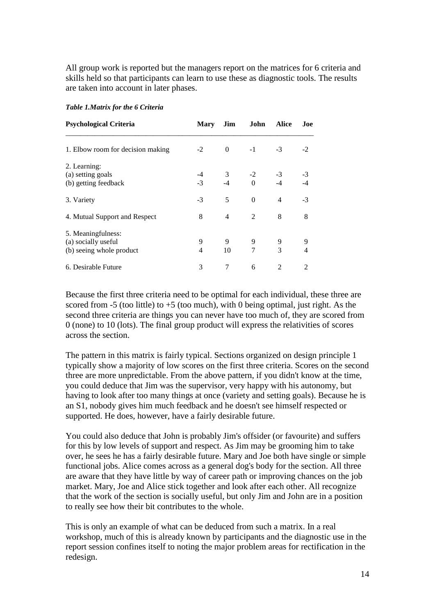All group work is reported but the managers report on the matrices for 6 criteria and skills held so that participants can learn to use these as diagnostic tools. The results are taken into account in later phases.

| <b>Psychological Criteria</b>                                         | <b>Mary</b> | Jim       | John             | <b>Alice</b>   | Joe    |
|-----------------------------------------------------------------------|-------------|-----------|------------------|----------------|--------|
| 1. Elbow room for decision making                                     | $-2$        | $\Omega$  | $-1$             | $-3$           | $-2$   |
| 2. Learning:<br>(a) setting goals<br>(b) getting feedback             | -4<br>$-3$  | 3<br>$-4$ | $-2$<br>$\Omega$ | $-3$<br>$-4$   | $-3$   |
| 3. Variety                                                            | $-3$        | 5         | $\theta$         | $\overline{4}$ | $-3$   |
| 4. Mutual Support and Respect                                         | 8           | 4         | $\mathfrak{D}$   | 8              | 8      |
| 5. Meaningfulness:<br>(a) socially useful<br>(b) seeing whole product | 9<br>4      | 9<br>10   | 9<br>7           | 9<br>3         | 9<br>4 |
| 6. Desirable Future                                                   | 3           | 7         | 6                | 2              | 2      |

#### *Table 1.Matrix for the 6 Criteria*

Because the first three criteria need to be optimal for each individual, these three are scored from  $-5$  (too little) to  $+5$  (too much), with 0 being optimal, just right. As the second three criteria are things you can never have too much of, they are scored from 0 (none) to 10 (lots). The final group product will express the relativities of scores across the section.

The pattern in this matrix is fairly typical. Sections organized on design principle 1 typically show a majority of low scores on the first three criteria. Scores on the second three are more unpredictable. From the above pattern, if you didn't know at the time, you could deduce that Jim was the supervisor, very happy with his autonomy, but having to look after too many things at once (variety and setting goals). Because he is an S1, nobody gives him much feedback and he doesn't see himself respected or supported. He does, however, have a fairly desirable future.

You could also deduce that John is probably Jim's offsider (or favourite) and suffers for this by low levels of support and respect. As Jim may be grooming him to take over, he sees he has a fairly desirable future. Mary and Joe both have single or simple functional jobs. Alice comes across as a general dog's body for the section. All three are aware that they have little by way of career path or improving chances on the job market. Mary, Joe and Alice stick together and look after each other. All recognize that the work of the section is socially useful, but only Jim and John are in a position to really see how their bit contributes to the whole.

This is only an example of what can be deduced from such a matrix. In a real workshop, much of this is already known by participants and the diagnostic use in the report session confines itself to noting the major problem areas for rectification in the redesign.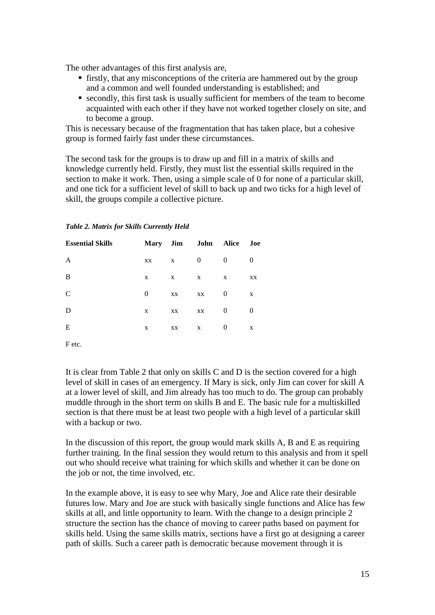The other advantages of this first analysis are,

- firstly, that any misconceptions of the criteria are hammered out by the group and a common and well founded understanding is established; and
- secondly, this first task is usually sufficient for members of the team to become acquainted with each other if they have not worked together closely on site, and to become a group.

This is necessary because of the fragmentation that has taken place, but a cohesive group is formed fairly fast under these circumstances.

The second task for the groups is to draw up and fill in a matrix of skills and knowledge currently held. Firstly, they must list the essential skills required in the section to make it work. Then, using a simple scale of 0 for none of a particular skill, and one tick for a sufficient level of skill to back up and two ticks for a high level of skill, the groups compile a collective picture.

| <b>Essential Skills</b> |          | Mary Jim | John     | Alice    | Joe      |
|-------------------------|----------|----------|----------|----------|----------|
| A                       | XX       | X        | $\theta$ | 0        | 0        |
| B                       | X        | X        | X        | X        | XX       |
| $\mathcal{C}$           | $\theta$ | XX       | XX       | 0        | X        |
| D                       | X        | XX       | XX       | 0        | $\theta$ |
| E                       | X        | XX       | X        | $\theta$ | X        |

*Table 2. Matrix for Skills Currently Held*

F etc.

It is clear from Table 2 that only on skills C and D is the section covered for a high level of skill in cases of an emergency. If Mary is sick, only Jim can cover for skill A at a lower level of skill, and Jim already has too much to do. The group can probably muddle through in the short term on skills B and E. The basic rule for a multiskilled section is that there must be at least two people with a high level of a particular skill with a backup or two.

In the discussion of this report, the group would mark skills A, B and E as requiring further training. In the final session they would return to this analysis and from it spell out who should receive what training for which skills and whether it can be done on the job or not, the time involved, etc.

In the example above, it is easy to see why Mary, Joe and Alice rate their desirable futures low. Mary and Joe are stuck with basically single functions and Alice has few skills at all, and little opportunity to learn. With the change to a design principle 2 structure the section has the chance of moving to career paths based on payment for skills held. Using the same skills matrix, sections have a first go at designing a career path of skills. Such a career path is democratic because movement through it is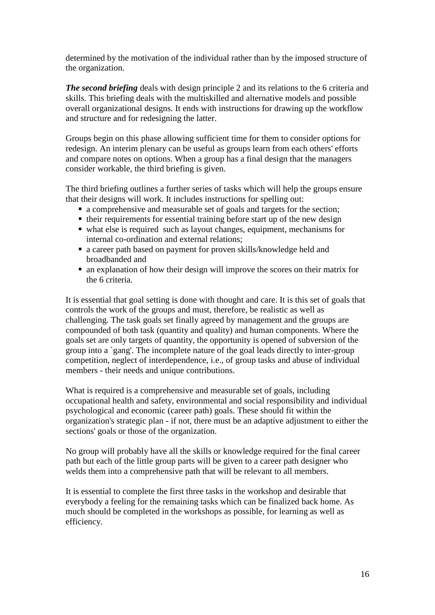determined by the motivation of the individual rather than by the imposed structure of the organization.

*The second briefing* deals with design principle 2 and its relations to the 6 criteria and skills. This briefing deals with the multiskilled and alternative models and possible overall organizational designs. It ends with instructions for drawing up the workflow and structure and for redesigning the latter.

Groups begin on this phase allowing sufficient time for them to consider options for redesign. An interim plenary can be useful as groups learn from each others' efforts and compare notes on options. When a group has a final design that the managers consider workable, the third briefing is given.

The third briefing outlines a further series of tasks which will help the groups ensure that their designs will work. It includes instructions for spelling out:

- a comprehensive and measurable set of goals and targets for the section;
- $\blacksquare$  their requirements for essential training before start up of the new design
- what else is required such as layout changes, equipment, mechanisms for internal co-ordination and external relations;
- a career path based on payment for proven skills/knowledge held and broadbanded and
- an explanation of how their design will improve the scores on their matrix for the 6 criteria.

It is essential that goal setting is done with thought and care. It is this set of goals that controls the work of the groups and must, therefore, be realistic as well as challenging. The task goals set finally agreed by management and the groups are compounded of both task (quantity and quality) and human components. Where the goals set are only targets of quantity, the opportunity is opened of subversion of the group into a `gang'. The incomplete nature of the goal leads directly to inter-group competition, neglect of interdependence, i.e., of group tasks and abuse of individual members - their needs and unique contributions.

What is required is a comprehensive and measurable set of goals, including occupational health and safety, environmental and social responsibility and individual psychological and economic (career path) goals. These should fit within the organization's strategic plan - if not, there must be an adaptive adjustment to either the sections' goals or those of the organization.

No group will probably have all the skills or knowledge required for the final career path but each of the little group parts will be given to a career path designer who welds them into a comprehensive path that will be relevant to all members.

It is essential to complete the first three tasks in the workshop and desirable that everybody a feeling for the remaining tasks which can be finalized back home. As much should be completed in the workshops as possible, for learning as well as efficiency.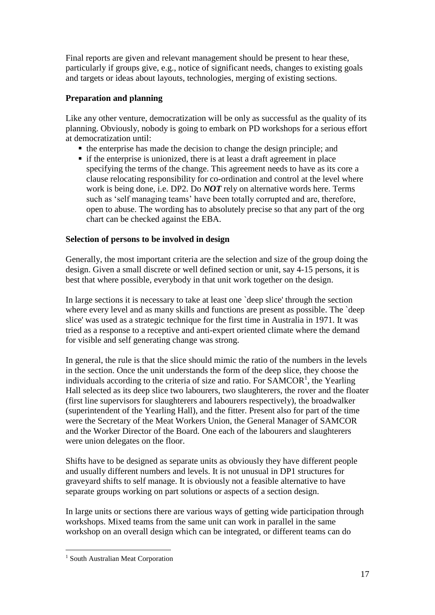Final reports are given and relevant management should be present to hear these, particularly if groups give, e.g., notice of significant needs, changes to existing goals and targets or ideas about layouts, technologies, merging of existing sections.

# **Preparation and planning**

Like any other venture, democratization will be only as successful as the quality of its planning. Obviously, nobody is going to embark on PD workshops for a serious effort at democratization until:

- the enterprise has made the decision to change the design principle; and
- $\blacksquare$  if the enterprise is unionized, there is at least a draft agreement in place specifying the terms of the change. This agreement needs to have as its core a clause relocating responsibility for co-ordination and control at the level where work is being done, i.e. DP2. Do *NOT* rely on alternative words here. Terms such as 'self managing teams' have been totally corrupted and are, therefore, open to abuse. The wording has to absolutely precise so that any part of the org chart can be checked against the EBA.

### **Selection of persons to be involved in design**

Generally, the most important criteria are the selection and size of the group doing the design. Given a small discrete or well defined section or unit, say 4-15 persons, it is best that where possible, everybody in that unit work together on the design.

In large sections it is necessary to take at least one `deep slice' through the section where every level and as many skills and functions are present as possible. The 'deep slice' was used as a strategic technique for the first time in Australia in 1971. It was tried as a response to a receptive and anti-expert oriented climate where the demand for visible and self generating change was strong.

In general, the rule is that the slice should mimic the ratio of the numbers in the levels in the section. Once the unit understands the form of the deep slice, they choose the individuals according to the criteria of size and ratio. For  $SAMCOR<sup>1</sup>$ , the Yearling Hall selected as its deep slice two labourers, two slaughterers, the rover and the floater (first line supervisors for slaughterers and labourers respectively), the broadwalker (superintendent of the Yearling Hall), and the fitter. Present also for part of the time were the Secretary of the Meat Workers Union, the General Manager of SAMCOR and the Worker Director of the Board. One each of the labourers and slaughterers were union delegates on the floor.

Shifts have to be designed as separate units as obviously they have different people and usually different numbers and levels. It is not unusual in DP1 structures for graveyard shifts to self manage. It is obviously not a feasible alternative to have separate groups working on part solutions or aspects of a section design.

In large units or sections there are various ways of getting wide participation through workshops. Mixed teams from the same unit can work in parallel in the same workshop on an overall design which can be integrated, or different teams can do

 $\overline{a}$ 

<sup>&</sup>lt;sup>1</sup> South Australian Meat Corporation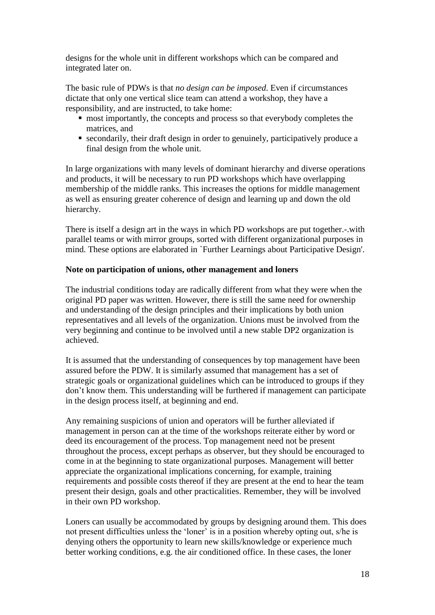designs for the whole unit in different workshops which can be compared and integrated later on.

The basic rule of PDWs is that *no design can be imposed*. Even if circumstances dictate that only one vertical slice team can attend a workshop, they have a responsibility, and are instructed, to take home:

- most importantly, the concepts and process so that everybody completes the matrices, and
- secondarily, their draft design in order to genuinely, participatively produce a final design from the whole unit.

In large organizations with many levels of dominant hierarchy and diverse operations and products, it will be necessary to run PD workshops which have overlapping membership of the middle ranks. This increases the options for middle management as well as ensuring greater coherence of design and learning up and down the old hierarchy.

There is itself a design art in the ways in which PD workshops are put together.-.with parallel teams or with mirror groups, sorted with different organizational purposes in mind. These options are elaborated in `Further Learnings about Participative Design'.

# **Note on participation of unions, other management and loners**

The industrial conditions today are radically different from what they were when the original PD paper was written. However, there is still the same need for ownership and understanding of the design principles and their implications by both union representatives and all levels of the organization. Unions must be involved from the very beginning and continue to be involved until a new stable DP2 organization is achieved.

It is assumed that the understanding of consequences by top management have been assured before the PDW. It is similarly assumed that management has a set of strategic goals or organizational guidelines which can be introduced to groups if they don't know them. This understanding will be furthered if management can participate in the design process itself, at beginning and end.

Any remaining suspicions of union and operators will be further alleviated if management in person can at the time of the workshops reiterate either by word or deed its encouragement of the process. Top management need not be present throughout the process, except perhaps as observer, but they should be encouraged to come in at the beginning to state organizational purposes. Management will better appreciate the organizational implications concerning, for example, training requirements and possible costs thereof if they are present at the end to hear the team present their design, goals and other practicalities. Remember, they will be involved in their own PD workshop.

Loners can usually be accommodated by groups by designing around them. This does not present difficulties unless the 'loner' is in a position whereby opting out, s/he is denying others the opportunity to learn new skills/knowledge or experience much better working conditions, e.g. the air conditioned office. In these cases, the loner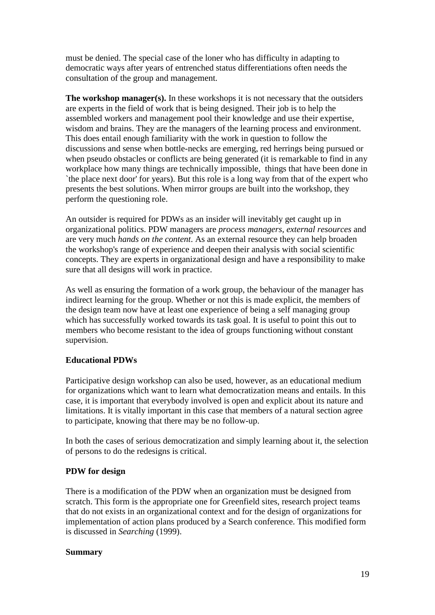must be denied. The special case of the loner who has difficulty in adapting to democratic ways after years of entrenched status differentiations often needs the consultation of the group and management.

**The workshop manager(s).** In these workshops it is not necessary that the outsiders are experts in the field of work that is being designed. Their job is to help the assembled workers and management pool their knowledge and use their expertise, wisdom and brains. They are the managers of the learning process and environment. This does entail enough familiarity with the work in question to follow the discussions and sense when bottle-necks are emerging, red herrings being pursued or when pseudo obstacles or conflicts are being generated (it is remarkable to find in any workplace how many things are technically impossible, things that have been done in `the place next door' for years). But this role is a long way from that of the expert who presents the best solutions. When mirror groups are built into the workshop, they perform the questioning role.

An outsider is required for PDWs as an insider will inevitably get caught up in organizational politics. PDW managers are *process managers, external resources* and are very much *hands on the content*. As an external resource they can help broaden the workshop's range of experience and deepen their analysis with social scientific concepts. They are experts in organizational design and have a responsibility to make sure that all designs will work in practice.

As well as ensuring the formation of a work group, the behaviour of the manager has indirect learning for the group. Whether or not this is made explicit, the members of the design team now have at least one experience of being a self managing group which has successfully worked towards its task goal. It is useful to point this out to members who become resistant to the idea of groups functioning without constant supervision.

### **Educational PDWs**

Participative design workshop can also be used, however, as an educational medium for organizations which want to learn what democratization means and entails. In this case, it is important that everybody involved is open and explicit about its nature and limitations. It is vitally important in this case that members of a natural section agree to participate, knowing that there may be no follow-up.

In both the cases of serious democratization and simply learning about it, the selection of persons to do the redesigns is critical.

### **PDW for design**

There is a modification of the PDW when an organization must be designed from scratch. This form is the appropriate one for Greenfield sites, research project teams that do not exists in an organizational context and for the design of organizations for implementation of action plans produced by a Search conference. This modified form is discussed in *Searching* (1999).

### **Summary**